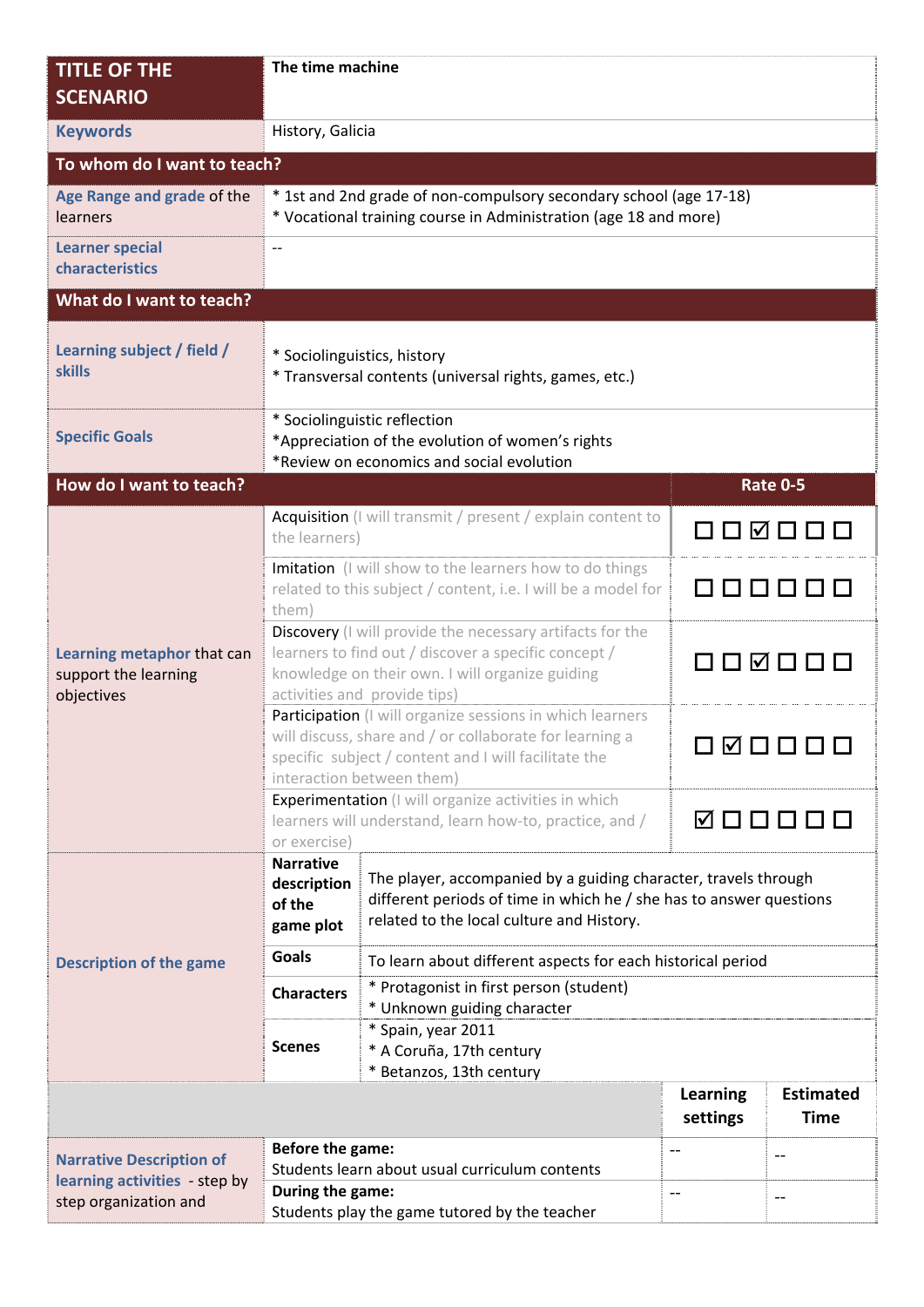| <b>TITLE OF THE</b><br><b>SCENARIO</b>                                                    | The time machine                                                                                                                                                                                               |                                                                                                                                                                                     |                                                      |                                 |  |  |  |
|-------------------------------------------------------------------------------------------|----------------------------------------------------------------------------------------------------------------------------------------------------------------------------------------------------------------|-------------------------------------------------------------------------------------------------------------------------------------------------------------------------------------|------------------------------------------------------|---------------------------------|--|--|--|
| <b>Keywords</b>                                                                           | History, Galicia                                                                                                                                                                                               |                                                                                                                                                                                     |                                                      |                                 |  |  |  |
| To whom do I want to teach?                                                               |                                                                                                                                                                                                                |                                                                                                                                                                                     |                                                      |                                 |  |  |  |
| Age Range and grade of the<br>learners                                                    | * 1st and 2nd grade of non-compulsory secondary school (age 17-18)<br>* Vocational training course in Administration (age 18 and more)                                                                         |                                                                                                                                                                                     |                                                      |                                 |  |  |  |
| <b>Learner special</b><br>characteristics                                                 | $-$                                                                                                                                                                                                            |                                                                                                                                                                                     |                                                      |                                 |  |  |  |
| What do I want to teach?                                                                  |                                                                                                                                                                                                                |                                                                                                                                                                                     |                                                      |                                 |  |  |  |
| Learning subject / field /<br><b>skills</b>                                               | * Sociolinguistics, history<br>* Transversal contents (universal rights, games, etc.)                                                                                                                          |                                                                                                                                                                                     |                                                      |                                 |  |  |  |
| <b>Specific Goals</b>                                                                     | * Sociolinguistic reflection<br>*Appreciation of the evolution of women's rights<br>*Review on economics and social evolution                                                                                  |                                                                                                                                                                                     |                                                      |                                 |  |  |  |
| How do I want to teach?                                                                   |                                                                                                                                                                                                                |                                                                                                                                                                                     |                                                      | <b>Rate 0-5</b>                 |  |  |  |
| Learning metaphor that can<br>support the learning<br>objectives                          | Acquisition (I will transmit / present / explain content to<br>the learners)                                                                                                                                   |                                                                                                                                                                                     | $\boxdot$                                            |                                 |  |  |  |
|                                                                                           | Imitation (I will show to the learners how to do things<br>related to this subject / content, i.e. I will be a model for<br>them)                                                                              |                                                                                                                                                                                     |                                                      |                                 |  |  |  |
|                                                                                           | Discovery (I will provide the necessary artifacts for the<br>learners to find out / discover a specific concept /<br>knowledge on their own. I will organize guiding<br>activities and provide tips)           |                                                                                                                                                                                     | ⊓⊓⊠                                                  |                                 |  |  |  |
|                                                                                           | Participation (I will organize sessions in which learners<br>will discuss, share and / or collaborate for learning a<br>M<br>specific subject / content and I will facilitate the<br>interaction between them) |                                                                                                                                                                                     |                                                      |                                 |  |  |  |
|                                                                                           | Experimentation (I will organize activities in which<br>learners will understand, learn how-to, practice, and /<br>or exercise)                                                                                |                                                                                                                                                                                     | ☑□□□□□                                               |                                 |  |  |  |
|                                                                                           | <b>Narrative</b><br>description<br>of the<br>game plot                                                                                                                                                         | The player, accompanied by a guiding character, travels through<br>different periods of time in which he / she has to answer questions<br>related to the local culture and History. |                                                      |                                 |  |  |  |
| <b>Description of the game</b>                                                            | <b>Goals</b>                                                                                                                                                                                                   | To learn about different aspects for each historical period                                                                                                                         |                                                      |                                 |  |  |  |
|                                                                                           | <b>Characters</b>                                                                                                                                                                                              | * Protagonist in first person (student)<br>* Unknown guiding character                                                                                                              |                                                      |                                 |  |  |  |
|                                                                                           | <b>Scenes</b>                                                                                                                                                                                                  | * Spain, year 2011<br>* A Coruña, 17th century<br>* Betanzos, 13th century                                                                                                          |                                                      |                                 |  |  |  |
|                                                                                           |                                                                                                                                                                                                                |                                                                                                                                                                                     | <b>Learning</b><br>settings                          | <b>Estimated</b><br><b>Time</b> |  |  |  |
| <b>Narrative Description of</b><br>learning activities - step by<br>step organization and | Before the game:<br>Students learn about usual curriculum contents<br>During the game:<br>Students play the game tutored by the teacher                                                                        |                                                                                                                                                                                     | $\overline{\phantom{a}}$<br>$\overline{\phantom{a}}$ | $\overline{\phantom{a}}$<br>$-$ |  |  |  |